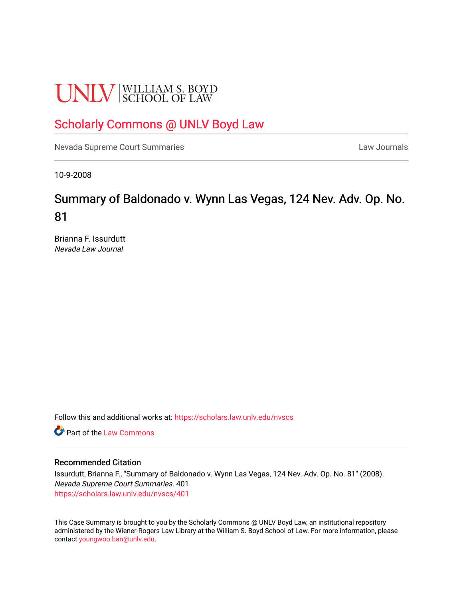# **UNLV** SCHOOL OF LAW

## [Scholarly Commons @ UNLV Boyd Law](https://scholars.law.unlv.edu/)

[Nevada Supreme Court Summaries](https://scholars.law.unlv.edu/nvscs) **Law Journals** Law Journals

10-9-2008

# Summary of Baldonado v. Wynn Las Vegas, 124 Nev. Adv. Op. No. 81

Brianna F. Issurdutt Nevada Law Journal

Follow this and additional works at: [https://scholars.law.unlv.edu/nvscs](https://scholars.law.unlv.edu/nvscs?utm_source=scholars.law.unlv.edu%2Fnvscs%2F401&utm_medium=PDF&utm_campaign=PDFCoverPages)

**C**<sup> $\bullet$ </sup> Part of the [Law Commons](http://network.bepress.com/hgg/discipline/578?utm_source=scholars.law.unlv.edu%2Fnvscs%2F401&utm_medium=PDF&utm_campaign=PDFCoverPages)

#### Recommended Citation

Issurdutt, Brianna F., "Summary of Baldonado v. Wynn Las Vegas, 124 Nev. Adv. Op. No. 81" (2008). Nevada Supreme Court Summaries. 401. [https://scholars.law.unlv.edu/nvscs/401](https://scholars.law.unlv.edu/nvscs/401?utm_source=scholars.law.unlv.edu%2Fnvscs%2F401&utm_medium=PDF&utm_campaign=PDFCoverPages)

This Case Summary is brought to you by the Scholarly Commons @ UNLV Boyd Law, an institutional repository administered by the Wiener-Rogers Law Library at the William S. Boyd School of Law. For more information, please contact [youngwoo.ban@unlv.edu](mailto:youngwoo.ban@unlv.edu).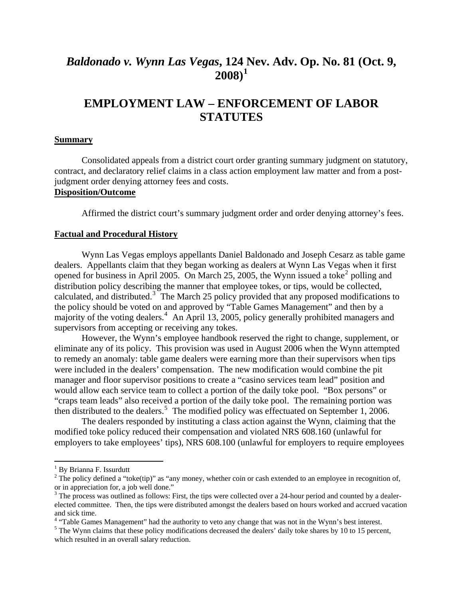### *Baldonado v. Wynn Las Vegas***, 124 [N](#page-1-0)ev. Adv. Op. No. 81 (Oct. 9, 2008)[1](#page-1-0)**

## **EMPLOYMENT LAW – ENFORCEMENT OF LABOR STATUTES**

#### **Summary**

Consolidated appeals from a district court order granting summary judgment on statutory, contract, and declaratory relief claims in a class action employment law matter and from a postjudgment order denying attorney fees and costs.

#### **Disposition/Outcome**

Affirmed the district court's summary judgment order and order denying attorney's fees.

#### **Factual and Procedural History**

Wynn Las Vegas employs appellants Daniel Baldonado and Joseph Cesarz as table game calculated, and distributed.<sup>[3](#page-1-2)</sup> The March 25 policy provided that any proposed modifications to majority of the voting dealers.<sup>[4](#page-1-3)</sup> An April 13, 2005, policy generally prohibited managers and dealers. Appellants claim that they began working as dealers at Wynn Las Vegas when it first opened for business in April [2](#page-1-1)005. On March 25, 2005, the Wynn issued a toke<sup>2</sup> polling and distribution policy describing the manner that employee tokes, or tips, would be collected, the policy should be voted on and approved by "Table Games Management" and then by a supervisors from accepting or receiving any tokes.

However, the Wynn's employee handbook reserved the right to change, supplement, or elimina te any of its policy. This provision was used in August 2006 when the Wynn attempted to remedy an anomaly: table game dealers were earning more than their supervisors when tips were included in the dealers' compensation. The new modification would combine the pit manager and floor supervisor positions to create a "casino services team lead" position and would allow each service team to collect a portion of the daily toke pool. "Box persons" or "craps team leads" also received a portion of the daily toke pool. The remaining portion was then distributed to the dealers.<sup>[5](#page-1-4)</sup> The modified policy was effectuated on September 1, 2006.

modifie d toke policy reduced their compensation and violated NRS 608.160 (unlawful for employers to take employees' tips), NRS 608.100 (unlawful for employers to require employees The dealers responded by instituting a class action against the Wynn, claiming that the

 $\overline{a}$ 

<sup>&</sup>lt;sup>1</sup> By Brianna F. Issurdutt

<span id="page-1-1"></span><span id="page-1-0"></span><sup>&</sup>lt;sup>2</sup> The policy defined a "toke(tip)" as "any money, whether coin or cash extended to an employee in recognition of, or in appreciation for, a job well done."

<span id="page-1-2"></span> $3$  The process was outlined as follows: First, the tips were collected over a 24-hour period and counted by a dealerelected committee. Then, the tips were distributed amongst the dealers based on hours worked and accrued vacation and sick time.

<sup>&</sup>lt;sup>4</sup> "Table Games Management" had the authority to veto any change that was not in the Wynn's best interest.

<span id="page-1-4"></span><span id="page-1-3"></span> $<sup>5</sup>$  The Wynn claims that these policy modifications decreased the dealers' daily toke shares by 10 to 15 percent,</sup> which resulted in an overall salary reduction.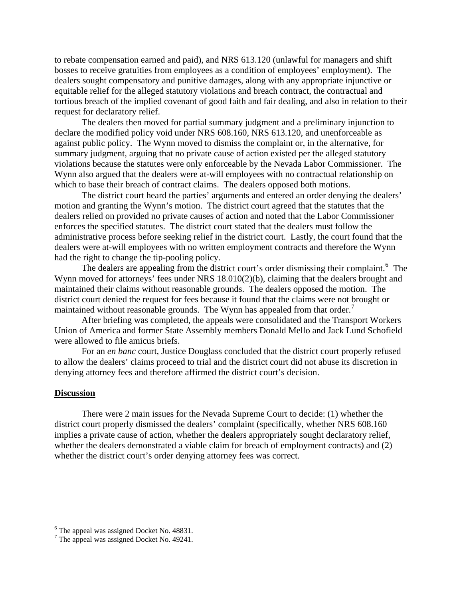to rebate compensation earned and paid), and NRS 613.120 (unlawful for managers and shift bosses to receive gratuities from employees as a condition of employees' employment). The dealers sought compensatory and punitive damages, along with any appropriate injunctive or equitable relief for the alleged statutory violations and breach contract, the contractual and tortious breach of the implied covenant of good faith and fair dealing, and also in relation to their request for declaratory relief.

The dealers then moved for partial summary judgment and a preliminary injunction to declare the modified policy void under NRS 608.160, NRS 613.120, and unenforceable as violations because the statutes were only enforceable by the Nevada Labor Commissioner. The against public policy. The Wynn moved to dismiss the complaint or, in the alternative, for summary judgment, arguing that no private cause of action existed per the alleged statutory Wynn also argued that the dealers were at-will employees with no contractual relationship on which to base their breach of contract claims. The dealers opposed both motions.

The district court heard the parties' arguments and entered an order denying the dealers' motion and granting the Wynn's motion. The district court agreed that the statutes that the dealers relied on provided no private causes of action and noted that the Labor Commissioner administrative process before seeking relief in the district court. Lastly, the court found that the enforces the specified statutes. The district court stated that the dealers must follow the dealers were at-will employees with no written employment contracts and therefore the Wynn had the right to change the tip-pooling policy.

The dealers are appealing from the district court's order dismissing their complaint.<sup>6</sup> The Wynn moved for attorneys' fees under NRS 18.010(2)(b), claiming that the dealers brought and maintained their claims without reasonable grounds. The dealers opposed the motion. The district court denied the request for fees because it found that the claims were not brought or maintained without reasonable grounds. The Wynn has appealed from that order.<sup>[7](#page-2-0)</sup>

[After briefing was completed, the appeals were consolidated and the Transp](#page-2-0)ort Workers Union of America and former State Assembly members Donald Mello and Jack Lund Schofield were allowed to file amicus briefs.

For an *en banc* court, Justice Douglass concluded that the district court properly refused to allow the dealers' claims proceed to trial and the district court did not abuse its discretion in denying attorney fees and therefore affirmed the district court's decision.

#### **Discussion**

 $\overline{a}$ 

There were 2 main issues for the Nevada Supreme Court to decide: (1) whether the district court properly dismissed the dealers' complaint (specifically, whether NRS 608.160 implies a private cause of action, whether the dealers appropriately sought declaratory relief, whether the dealers demonstrated a viable claim for breach of employment contracts) and (2) whether the district court's order denying attorney fees was correct.

<span id="page-2-0"></span> $^6$  The appeal was assigned Docket No. 48831.

 $7$  The appeal was assigned Docket No. 49241.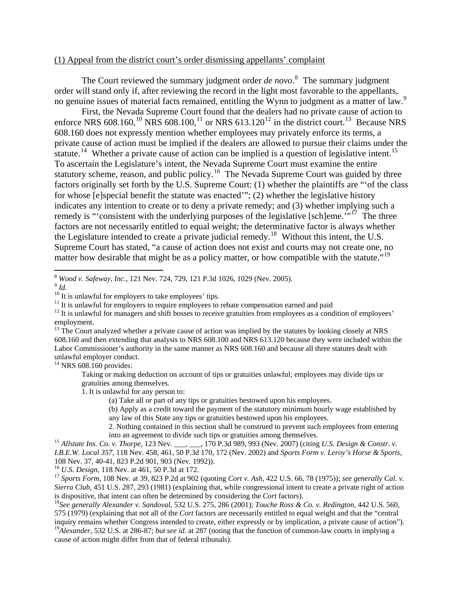#### (1) Appeal from the district court's order dismissing appellants' complaint

 The Court reviewed the summary judgment order *de novo*. [8](#page-3-0) The summary judgment order will stand only if, after reviewing the record in the light most favorable to the appellants, no genuine issues of material facts remained, entitling the Wynn to judgment as a matter of law.<sup>[9](#page-3-1)</sup>

 First, the Nevada Supreme Court found that the dealers had no private cause of action to enforce NRS 608.160,<sup>[10](#page-3-2)</sup> NRS 608.100,<sup>[11](#page-3-3)</sup> or NRS 613.[12](#page-3-4)0<sup>12</sup> in the district court.<sup>[13](#page-3-5)</sup> Because NRS 608.160 does not expressly mention whether employees may privately enforce its terms, a private cause of action must be implied if the dealers are allowed to pursue their claims under the statute.<sup>[14](#page-3-6)</sup> Whether a private cause of action can be implied is a question of legislative intent.<sup>[15](#page-3-7)</sup> To ascertain the Legislature's intent, the Nevada Supreme Court must examine the entire statutory scheme, reason, and public policy.<sup>[16](#page-3-8)</sup> The Nevada Supreme Court was guided by three factors originally set forth by the U.S. Supreme Court: (1) whether the plaintiffs are "'of the class for whose [e]special benefit the statute was enacted'"; (2) whether the legislative history indicates any intention to create or to deny a private remedy; and (3) whether implying such a remedy is "'consistent with the underlying purposes of the legislative [sch]eme."<sup>"[17](#page-3-9)</sup> The three factors are not necessarily entitled to equal weight; the determinative factor is always whether the Legislature intended to create a private judicial remedy.<sup>[18](#page-3-10)</sup> Without this intent, the U.S. Supreme Court has stated, "a cause of action does not exist and courts may not create one, no matter how desirable that might be as a policy matter, or how compatible with the statute."<sup>[19](#page-3-11)</sup>

<span id="page-3-1"></span><span id="page-3-0"></span><sup>8</sup> *Wood v. Safeway, Inc.*, 121 Nev. 724, 729, 121 P.3d 1026, 1029 (Nev. 2005). 9 *Id.*

 $\overline{a}$ 

<span id="page-3-6"></span> $14$  NRS 608.160 provides:

Taking or making deduction on account of tips or gratuities unlawful; employees may divide tips or gratuities among themselves.

1. It is unlawful for any person to:

(a) Take all or part of any tips or gratuities bestowed upon his employees.

(b) Apply as a credit toward the payment of the statutory minimum hourly wage established by any law of this State any tips or gratuities bestowed upon his employees.

2. Nothing contained in this section shall be construed to prevent such employees from entering <sup>15</sup> *Allstate Ins. Co. v. Thorpe*, 123 Nev. \_\_\_, \_\_, 170 P.3d 989, 993 (Nev. 2007) (citing *U.S. Design & Constr. v.* <sup>15</sup> *Allstate Ins. Co. v. Thorpe*, 123 Nev. \_\_\_, \_\_, 170 P.3d 989, 993 (Nev. 2007) (citing *U.S. Desig* 

<span id="page-3-7"></span>*I.B.E.W. Local 357*, 118 Nev. 458, 461, 50 P.3d 170, 172 (Nev. 2002) and *Sports Form v. Leroy's Horse & Sports*, 108 Nev. 37, 40-41, 823 P.2d 901, 903 (Nev. 1992)).<br><sup>16</sup> U.S. Design, 118 Nev. at 461, 50 P.3d at 172.

<span id="page-3-8"></span>

<span id="page-3-9"></span><sup>17</sup> *Sports Form*, 108 Nev. at 39, 823 P.2d at 902 (quoting *Cort v. Ash,* 422 U.S. 66, 78 (1975)); *see generally Cal. v. Sierra Club*, 451 U.S. 287, 293 (1981) (explaining that, while congressional intent to create a private right of action is dispositive, that intent can often be determined by considering the *Cort* factors). 18*See generally Alexander v. Sandoval*, 532 U.S. 275, 286 (2001); *Touche Ross & Co. v. Redington*, 442 U.S. 560,

<span id="page-3-11"></span><span id="page-3-10"></span>575 (1979) (explaining that not all of the *Cort* factors are necessarily entitled to equal weight and that the "central inquiry remains whether Congress intended to create, either expressly or by implication, a private cause of action"). <sup>19</sup>Alexander, 532 U.S. at 286-87; *but see id.* at 287 (noting that the function of common-law courts in implying a cause of action might differ from that of federal tribunals).

<span id="page-3-2"></span> $10$  It is unlawful for employers to take employees' tips.

<span id="page-3-3"></span> $11$  It is unlawful for employers to require employees to rebate compensation earned and paid

<span id="page-3-4"></span> $12$  It is unlawful for managers and shift bosses to receive gratuities from employees as a condition of employees' employment.

<span id="page-3-5"></span><sup>&</sup>lt;sup>13</sup> The Court analyzed whether a private cause of action was implied by the statutes by looking closely at NRS 608.160 and then extending that analysis to NRS 608.100 and NRS 613.120 because they were included within the Labor Commissioner's authority in the same manner as NRS 608.160 and because all three statutes dealt with unlawful employer conduct.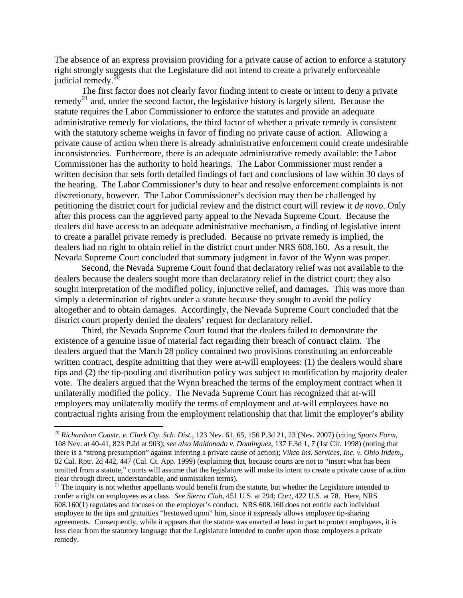The absence of an express provision providing for a private cause of action to enforce a statutory right strongly suggests that the Legislature did not intend to create a privately enforceable judicial remedy. $^{20}$  $^{20}$  $^{20}$ 

 The first factor does not clearly favor finding intent to create or intent to deny a private remed $v^{21}$  $v^{21}$  $v^{21}$  and, under the second factor, the legislative history is largely silent. Because the statute requires the Labor Commissioner to enforce the statutes and provide an adequate administrative remedy for violations, the third factor of whether a private remedy is consistent with the statutory scheme weighs in favor of finding no private cause of action. Allowing a private cause of action when there is already administrative enforcement could create undesirable inconsistencies. Furthermore, there is an adequate administrative remedy available: the Labor Commissioner has the authority to hold hearings. The Labor Commissioner must render a written decision that sets forth detailed findings of fact and conclusions of law within 30 days of the hearing. The Labor Commissioner's duty to hear and resolve enforcement complaints is not discretionary, however. The Labor Commissioner's decision may then be challenged by petitioning the district court for judicial review and the district court will review it *de novo*. Only after this process can the aggrieved party appeal to the Nevada Supreme Court. Because the dealers did have access to an adequate administrative mechanism, a finding of legislative intent to create a parallel private remedy is precluded. Because no private remedy is implied, the dealers had no right to obtain relief in the district court under NRS 608.160. As a result, the Nevada Supreme Court concluded that summary judgment in favor of the Wynn was proper.

Second, the Nevada Supreme Court found that declaratory relief was not available to the dealers because the dealers sought more than declaratory relief in the district court: they also sought interpretation of the modified policy, injunctive relief, and damages. This was more than simply a determination of rights under a statute because they sought to avoid the policy altogether and to obtain damages. Accordingly, the Nevada Supreme Court concluded that the district court properly denied the dealers' request for declaratory relief.

Third, the Nevada Supreme Court found that the dealers failed to demonstrate the existence of a genuine issue of material fact regarding their breach of contract claim. The dealers argued that the March 28 policy contained two provisions constituting an enforceable written contract, despite admitting that they were at-will employees: (1) the dealers would share tips and (2) the tip-pooling and distribution policy was subject to modification by majority dealer vote. The dealers argued that the Wynn breached the terms of the employment contract when it unilaterally modified the policy. The Nevada Supreme Court has recognized that at-will employers may unilaterally modify the terms of employment and at-will employees have no contractual rights arising from the employment relationship that that limit the employer's ability

 $\overline{a}$ 

<span id="page-4-0"></span><sup>20</sup> *Richardson Constr. v. Clark Cty. Sch. Dist.,* 123 Nev. 61, 65, 156 P.3d 21, 23 (Nev. 2007) (citing *Sports Form*, 108 Nev. at 40-41, 823 P.2d at 903); *see also Maldonado v. Dominguez*, 137 F.3d 1, 7 (1st Cir. 1998) (noting that there is a "strong presumption" against inferring a private cause of action); *Vikco Ins. Services, Inc. v. Ohio Indem*., 82 Cal. Rptr. 2d 442, 447 (Cal. Ct. App. 1999) (explaining that, because courts are not to "insert what has been omitted from a statute," courts will assume that the legislature will make its intent to create a private cause of action clear through direct, understandable, and unmistaken terms).<br><sup>21</sup> The inquiry is not whether appellants would benefit from the statute, but whether the Legislature intended to

<span id="page-4-1"></span>confer a right on employees as a class. *See Sierra Club*, 451 U.S. at 294; *Cort*, 422 U.S. at 78. Here, NRS 608.160(1) regulates and focuses on the employer's conduct. NRS 608.160 does not entitle each individual employee to the tips and gratuities "bestowed upon" him, since it expressly allows employee tip-sharing agreements. Consequently, while it appears that the statute was enacted at least in part to protect employees, it is less clear from the statutory language that the Legislature intended to confer upon those employees a private remedy.